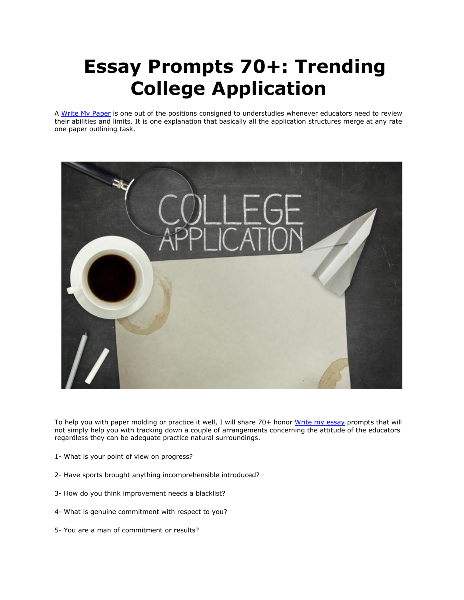## **Essay Prompts 70+: Trending College Application**

A [Write My Paper](https://www.myperfectpaper.net/) is one out of the positions consigned to understudies whenever educators need to review their abilities and limits. It is one explanation that basically all the application structures merge at any rate one paper outlining task.



To help you with paper molding or practice it well, I will share 70+ honor [Write my essay](https://www.myperfectpaper.net/) prompts that will not simply help you with tracking down a couple of arrangements concerning the attitude of the educators regardless they can be adequate practice natural surroundings.

- 1- What is your point of view on progress?
- 2- Have sports brought anything incomprehensible introduced?
- 3- How do you think improvement needs a blacklist?
- 4- What is genuine commitment with respect to you?
- 5- You are a man of commitment or results?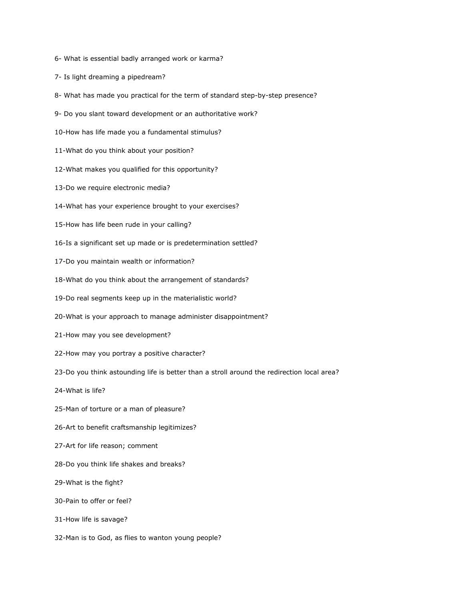- 6- What is essential badly arranged work or karma?
- 7- Is light dreaming a pipedream?
- 8- What has made you practical for the term of standard step-by-step presence?
- 9- Do you slant toward development or an authoritative work?
- 10-How has life made you a fundamental stimulus?
- 11-What do you think about your position?
- 12-What makes you qualified for this opportunity?
- 13-Do we require electronic media?
- 14-What has your experience brought to your exercises?
- 15-How has life been rude in your calling?
- 16-Is a significant set up made or is predetermination settled?
- 17-Do you maintain wealth or information?
- 18-What do you think about the arrangement of standards?
- 19-Do real segments keep up in the materialistic world?
- 20-What is your approach to manage administer disappointment?
- 21-How may you see development?
- 22-How may you portray a positive character?
- 23-Do you think astounding life is better than a stroll around the redirection local area?
- 24-What is life?
- 25-Man of torture or a man of pleasure?
- 26-Art to benefit craftsmanship legitimizes?
- 27-Art for life reason; comment
- 28-Do you think life shakes and breaks?
- 29-What is the fight?
- 30-Pain to offer or feel?
- 31-How life is savage?
- 32-Man is to God, as flies to wanton young people?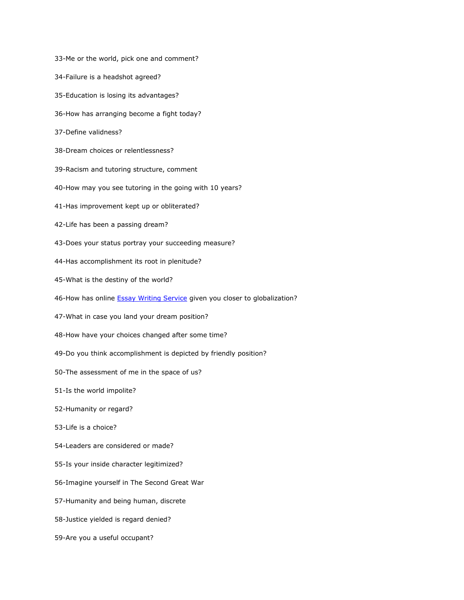33-Me or the world, pick one and comment? 34-Failure is a headshot agreed? 35-Education is losing its advantages? 36-How has arranging become a fight today? 37-Define validness? 38-Dream choices or relentlessness? 39-Racism and tutoring structure, comment 40-How may you see tutoring in the going with 10 years? 41-Has improvement kept up or obliterated? 42-Life has been a passing dream? 43-Does your status portray your succeeding measure? 44-Has accomplishment its root in plenitude? 45-What is the destiny of the world? 46-How has online **[Essay Writing Service](https://www.myperfectpaper.net/)** given you closer to globalization? 47-What in case you land your dream position? 48-How have your choices changed after some time? 49-Do you think accomplishment is depicted by friendly position? 50-The assessment of me in the space of us? 51-Is the world impolite? 52-Humanity or regard? 53-Life is a choice? 54-Leaders are considered or made? 55-Is your inside character legitimized? 56-Imagine yourself in The Second Great War 57-Humanity and being human, discrete 58-Justice yielded is regard denied? 59-Are you a useful occupant?